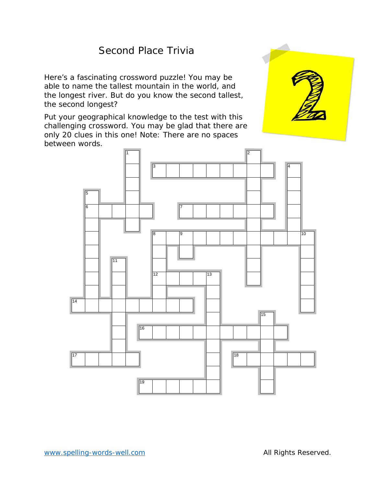# Second Place Trivia

Here's a fascinating crossword puzzle! You may be able to name the tallest mountain in the world, and the longest river. But do you know the second tallest, the second longest?

Put your geographical knowledge to the test with this challenging crossword. You may be glad that there are only 20 clues in this one! Note: There are no spaces between words.



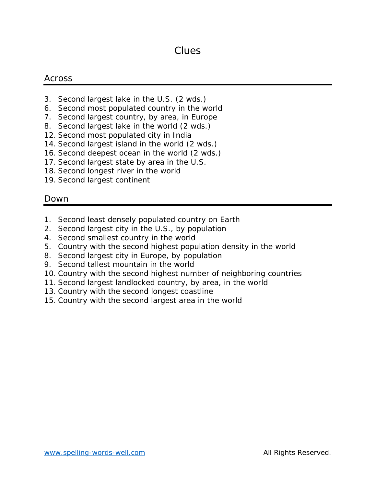### Clues

### Across

- 3. Second largest lake in the U.S. (2 wds.)
- 6. Second most populated country in the world
- 7. Second largest country, by area, in Europe
- 8. Second largest lake in the world (2 wds.)
- 12. Second most populated city in India
- 14. Second largest island in the world (2 wds.)
- 16. Second deepest ocean in the world (2 wds.)
- 17. Second largest state by area in the U.S.
- 18. Second longest river in the world
- 19. Second largest continent

### Down

- 1. Second least densely populated country on Earth
- 2. Second largest city in the U.S., by population
- 4. Second smallest country in the world
- 5. Country with the second highest population density in the world
- 8. Second largest city in Europe, by population
- 9. Second tallest mountain in the world
- 10. Country with the second highest number of neighboring countries
- 11. Second largest landlocked country, by area, in the world
- 13. Country with the second longest coastline
- 15. Country with the second largest area in the world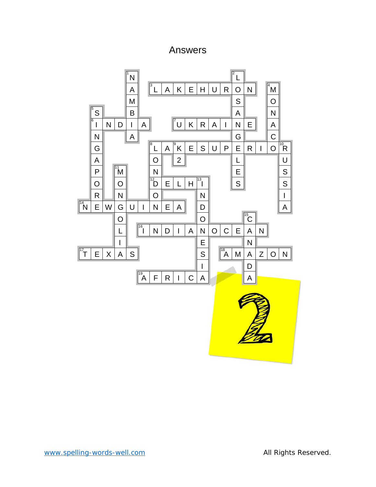## Answers